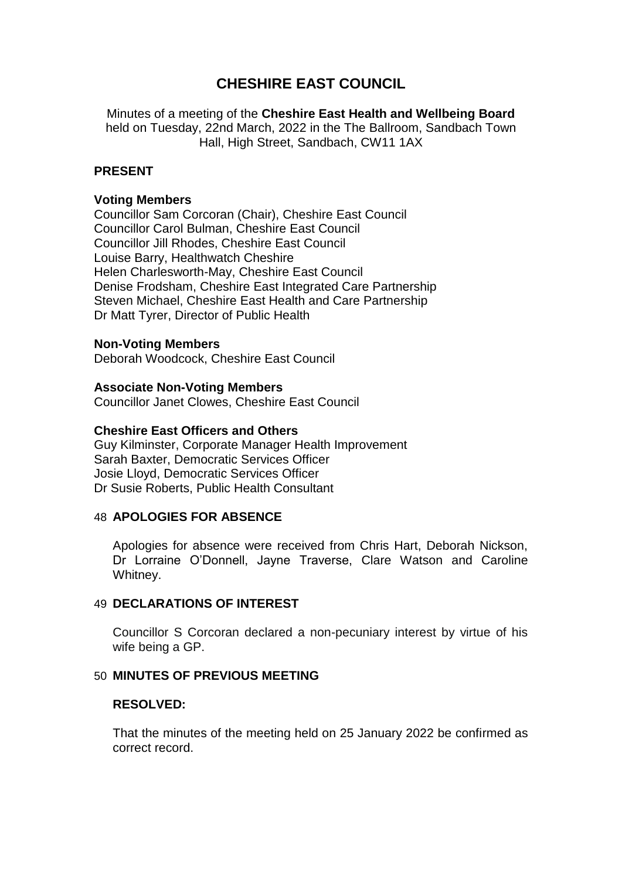# **CHESHIRE EAST COUNCIL**

Minutes of a meeting of the **Cheshire East Health and Wellbeing Board** held on Tuesday, 22nd March, 2022 in the The Ballroom, Sandbach Town Hall, High Street, Sandbach, CW11 1AX

# **PRESENT**

#### **Voting Members**

Councillor Sam Corcoran (Chair), Cheshire East Council Councillor Carol Bulman, Cheshire East Council Councillor Jill Rhodes, Cheshire East Council Louise Barry, Healthwatch Cheshire Helen Charlesworth-May, Cheshire East Council Denise Frodsham, Cheshire East Integrated Care Partnership Steven Michael, Cheshire East Health and Care Partnership Dr Matt Tyrer, Director of Public Health

### **Non-Voting Members**

Deborah Woodcock, Cheshire East Council

#### **Associate Non-Voting Members**

Councillor Janet Clowes, Cheshire East Council

#### **Cheshire East Officers and Others**

Guy Kilminster, Corporate Manager Health Improvement Sarah Baxter, Democratic Services Officer Josie Lloyd, Democratic Services Officer Dr Susie Roberts, Public Health Consultant

#### 48 **APOLOGIES FOR ABSENCE**

Apologies for absence were received from Chris Hart, Deborah Nickson, Dr Lorraine O'Donnell, Jayne Traverse, Clare Watson and Caroline Whitney.

#### 49 **DECLARATIONS OF INTEREST**

Councillor S Corcoran declared a non-pecuniary interest by virtue of his wife being a GP.

#### 50 **MINUTES OF PREVIOUS MEETING**

#### **RESOLVED:**

That the minutes of the meeting held on 25 January 2022 be confirmed as correct record.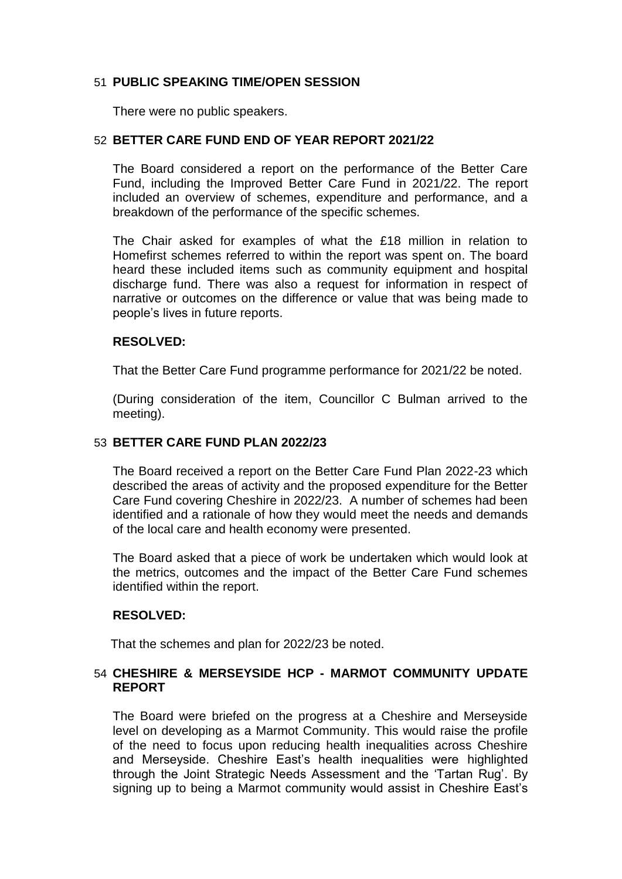# 51 **PUBLIC SPEAKING TIME/OPEN SESSION**

There were no public speakers.

# 52 **BETTER CARE FUND END OF YEAR REPORT 2021/22**

The Board considered a report on the performance of the Better Care Fund, including the Improved Better Care Fund in 2021/22. The report included an overview of schemes, expenditure and performance, and a breakdown of the performance of the specific schemes.

The Chair asked for examples of what the £18 million in relation to Homefirst schemes referred to within the report was spent on. The board heard these included items such as community equipment and hospital discharge fund. There was also a request for information in respect of narrative or outcomes on the difference or value that was being made to people's lives in future reports.

# **RESOLVED:**

That the Better Care Fund programme performance for 2021/22 be noted.

(During consideration of the item, Councillor C Bulman arrived to the meeting).

# 53 **BETTER CARE FUND PLAN 2022/23**

The Board received a report on the Better Care Fund Plan 2022-23 which described the areas of activity and the proposed expenditure for the Better Care Fund covering Cheshire in 2022/23. A number of schemes had been identified and a rationale of how they would meet the needs and demands of the local care and health economy were presented.

The Board asked that a piece of work be undertaken which would look at the metrics, outcomes and the impact of the Better Care Fund schemes identified within the report.

# **RESOLVED:**

That the schemes and plan for 2022/23 be noted.

# 54 **CHESHIRE & MERSEYSIDE HCP - MARMOT COMMUNITY UPDATE REPORT**

The Board were briefed on the progress at a Cheshire and Merseyside level on developing as a Marmot Community. This would raise the profile of the need to focus upon reducing health inequalities across Cheshire and Merseyside. Cheshire East's health inequalities were highlighted through the Joint Strategic Needs Assessment and the 'Tartan Rug'. By signing up to being a Marmot community would assist in Cheshire East's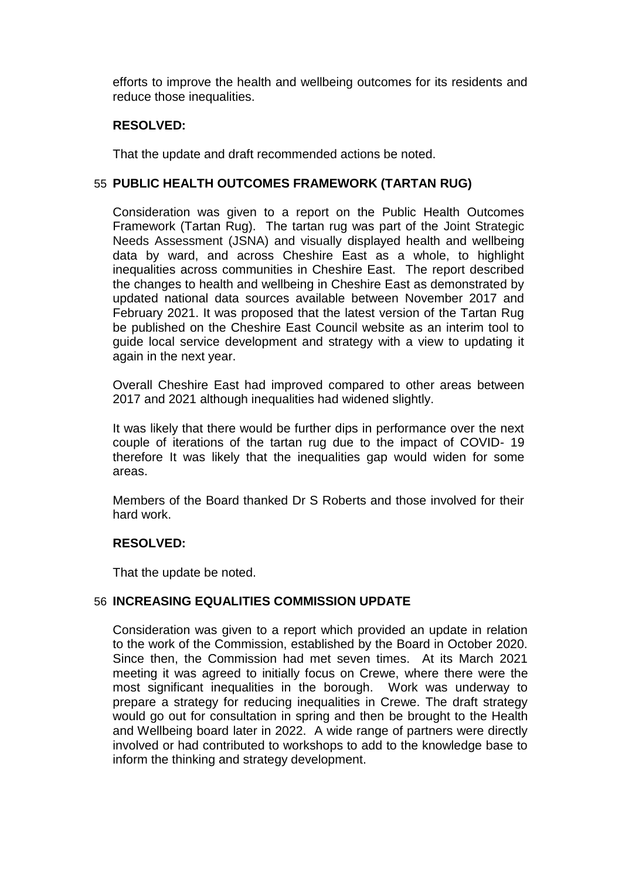efforts to improve the health and wellbeing outcomes for its residents and reduce those inequalities.

# **RESOLVED:**

That the update and draft recommended actions be noted.

### 55 **PUBLIC HEALTH OUTCOMES FRAMEWORK (TARTAN RUG)**

Consideration was given to a report on the Public Health Outcomes Framework (Tartan Rug). The tartan rug was part of the Joint Strategic Needs Assessment (JSNA) and visually displayed health and wellbeing data by ward, and across Cheshire East as a whole, to highlight inequalities across communities in Cheshire East. The report described the changes to health and wellbeing in Cheshire East as demonstrated by updated national data sources available between November 2017 and February 2021. It was proposed that the latest version of the Tartan Rug be published on the Cheshire East Council website as an interim tool to guide local service development and strategy with a view to updating it again in the next year.

Overall Cheshire East had improved compared to other areas between 2017 and 2021 although inequalities had widened slightly.

It was likely that there would be further dips in performance over the next couple of iterations of the tartan rug due to the impact of COVID- 19 therefore It was likely that the inequalities gap would widen for some areas.

Members of the Board thanked Dr S Roberts and those involved for their hard work.

#### **RESOLVED:**

That the update be noted.

# 56 **INCREASING EQUALITIES COMMISSION UPDATE**

Consideration was given to a report which provided an update in relation to the work of the Commission, established by the Board in October 2020. Since then, the Commission had met seven times. At its March 2021 meeting it was agreed to initially focus on Crewe, where there were the most significant inequalities in the borough. Work was underway to prepare a strategy for reducing inequalities in Crewe. The draft strategy would go out for consultation in spring and then be brought to the Health and Wellbeing board later in 2022. A wide range of partners were directly involved or had contributed to workshops to add to the knowledge base to inform the thinking and strategy development.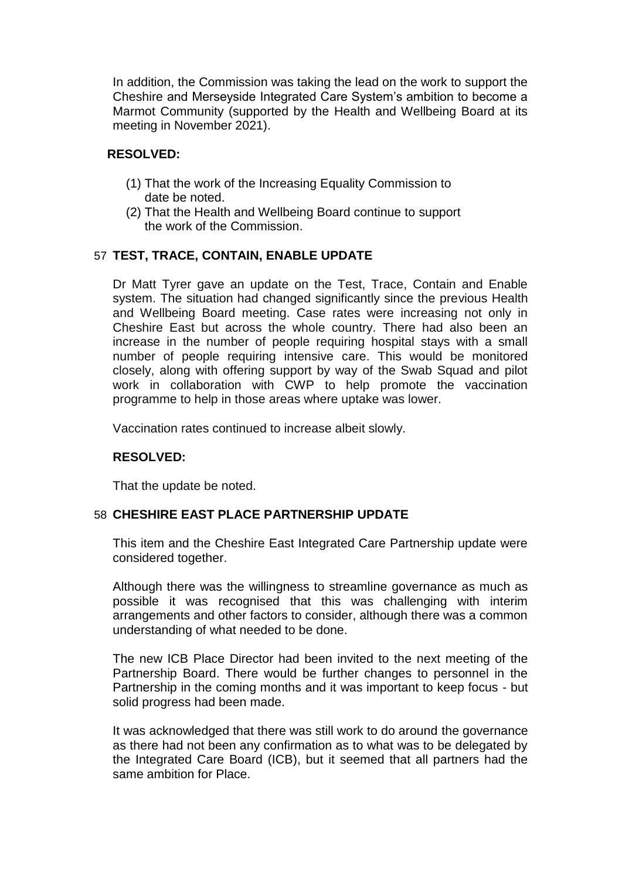In addition, the Commission was taking the lead on the work to support the Cheshire and Merseyside Integrated Care System's ambition to become a Marmot Community (supported by the Health and Wellbeing Board at its meeting in November 2021).

# **RESOLVED:**

- (1) That the work of the Increasing Equality Commission to date be noted.
- (2) That the Health and Wellbeing Board continue to support the work of the Commission.

### 57 **TEST, TRACE, CONTAIN, ENABLE UPDATE**

Dr Matt Tyrer gave an update on the Test, Trace, Contain and Enable system. The situation had changed significantly since the previous Health and Wellbeing Board meeting. Case rates were increasing not only in Cheshire East but across the whole country. There had also been an increase in the number of people requiring hospital stays with a small number of people requiring intensive care. This would be monitored closely, along with offering support by way of the Swab Squad and pilot work in collaboration with CWP to help promote the vaccination programme to help in those areas where uptake was lower.

Vaccination rates continued to increase albeit slowly.

# **RESOLVED:**

That the update be noted.

#### 58 **CHESHIRE EAST PLACE PARTNERSHIP UPDATE**

This item and the Cheshire East Integrated Care Partnership update were considered together.

Although there was the willingness to streamline governance as much as possible it was recognised that this was challenging with interim arrangements and other factors to consider, although there was a common understanding of what needed to be done.

The new ICB Place Director had been invited to the next meeting of the Partnership Board. There would be further changes to personnel in the Partnership in the coming months and it was important to keep focus - but solid progress had been made.

It was acknowledged that there was still work to do around the governance as there had not been any confirmation as to what was to be delegated by the Integrated Care Board (ICB), but it seemed that all partners had the same ambition for Place.